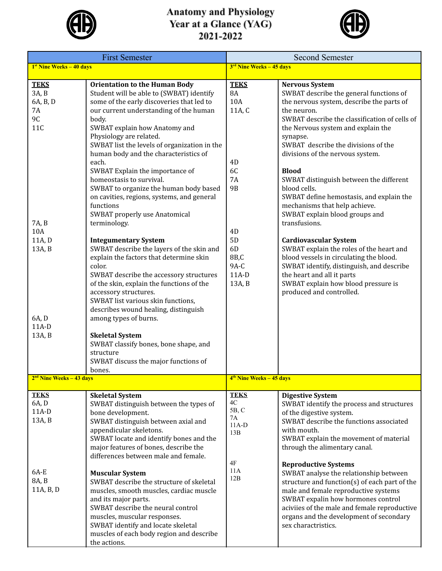

## Anatomy and Physiology<br>Year at a Glance (YAG)<br>2021-2022



| <b>First Semester</b>                               |                                                                                                                                                                                                                                                                                                                                                           | <b>Second Semester</b>                                              |                                                                                                                                                                                                                                                                                                            |
|-----------------------------------------------------|-----------------------------------------------------------------------------------------------------------------------------------------------------------------------------------------------------------------------------------------------------------------------------------------------------------------------------------------------------------|---------------------------------------------------------------------|------------------------------------------------------------------------------------------------------------------------------------------------------------------------------------------------------------------------------------------------------------------------------------------------------------|
| 1 <sup>st</sup> Nine Weeks - 40 days                |                                                                                                                                                                                                                                                                                                                                                           | 3 <sup>rd</sup> Nine Weeks - 45 days                                |                                                                                                                                                                                                                                                                                                            |
| <b>TEKS</b><br>3A, B<br>6A, B, D<br>7A<br>9C<br>11C | <b>Orientation to the Human Body</b><br>Student will be able to (SWBAT) identify<br>some of the early discoveries that led to<br>our current understanding of the human<br>body.<br>SWBAT explain how Anatomy and<br>Physiology are related.<br>SWBAT list the levels of organization in the<br>human body and the characteristics of<br>each.            | <b>TEKS</b><br><b>8A</b><br>10A<br>11A, C<br>4D                     | <b>Nervous System</b><br>SWBAT describe the general functions of<br>the nervous system, describe the parts of<br>the neuron.<br>SWBAT describe the classification of cells of<br>the Nervous system and explain the<br>synapse.<br>SWBAT describe the divisions of the<br>divisions of the nervous system. |
| 7A, B<br>10A<br>11A, D<br>13A, B                    | SWBAT Explain the importance of<br>homeostasis to survival.<br>SWBAT to organize the human body based<br>on cavities, regions, systems, and general<br>functions<br>SWBAT properly use Anatomical<br>terminology.<br><b>Integumentary System</b><br>SWBAT describe the layers of the skin and                                                             | 6C<br><b>7A</b><br><b>9B</b><br>4D<br>5D<br>6D                      | <b>Blood</b><br>SWBAT distinguish between the different<br>blood cells.<br>SWBAT define hemostasis, and explain the<br>mechanisms that help achieve.<br>SWBAT explain blood groups and<br>transfusions.<br><b>Cardiovascular System</b><br>SWBAT explain the roles of the heart and                        |
| 6A, D<br>$11A-D$<br>13A, B                          | explain the factors that determine skin<br>color.<br>SWBAT describe the accessory structures<br>of the skin, explain the functions of the<br>accessory structures.<br>SWBAT list various skin functions,<br>describes wound healing, distinguish<br>among types of burns.<br><b>Skeletal System</b><br>SWBAT classify bones, bone shape, and<br>structure | 8B,C<br>$9A-C$<br>$11A-D$<br>13A, B                                 | blood vessels in circulating the blood.<br>SWBAT identify, distinguish, and describe<br>the heart and all it parts<br>SWBAT explain how blood pressure is<br>produced and controlled.                                                                                                                      |
|                                                     | SWBAT discuss the major functions of<br>bones.                                                                                                                                                                                                                                                                                                            |                                                                     |                                                                                                                                                                                                                                                                                                            |
| $2nd$ Nine Weeks – 43 days                          |                                                                                                                                                                                                                                                                                                                                                           | 4 <sup>th</sup> Nine Weeks - 45 days                                |                                                                                                                                                                                                                                                                                                            |
| <b>TEKS</b><br>6A, D<br>$11A-D$<br>13A, B           | <b>Skeletal System</b><br>SWBAT distinguish between the types of<br>bone development.<br>SWBAT distinguish between axial and<br>appendicular skeletons.<br>SWBAT locate and identify bones and the<br>major features of bones, describe the<br>differences between male and female.                                                                       | <b>TEKS</b><br>$4\mathrm{C}$<br>5B, C<br>7A<br>$11A-D$<br>13B<br>4F | <b>Digestive System</b><br>SWBAT identify the process and structures<br>of the digestive system.<br>SWBAT describe the functions associated<br>with mouth.<br>SWBAT explain the movement of material<br>through the alimentary canal.<br><b>Reproductive Systems</b>                                       |
| 6A-E<br>8A, B<br>11A, B, D                          | <b>Muscular System</b><br>SWBAT describe the structure of skeletal<br>muscles, smooth muscles, cardiac muscle<br>and its major parts.<br>SWBAT describe the neural control<br>muscles, muscular responses.<br>SWBAT identify and locate skeletal<br>muscles of each body region and describe<br>the actions.                                              | 11A<br>12B                                                          | SWBAT analyse the relationship between<br>structure and function(s) of each part of the<br>male and female reproductive systems<br>SWBAT expalin how hormones control<br>aciviies of the male and female reproductive<br>organs and the development of secondary<br>sex charactristics.                    |